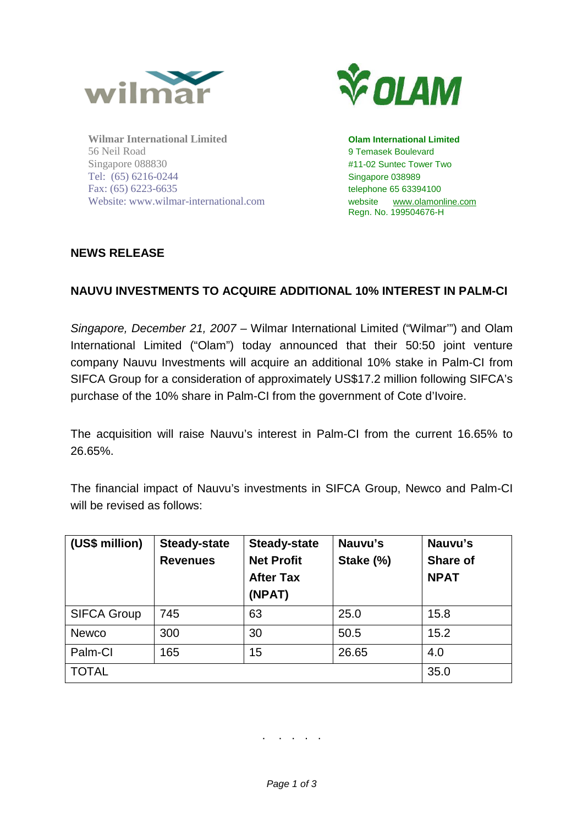

**Wilmar International Limited Olam International Limited** 56 Neil Road 9 Temasek Boulevard Singapore 088830 #11-02 Suntec Tower Two Tel: (65) 6216-0244 Singapore 038989 Fax: (65) 6223-6635 telephone 65 63394100 Website: www.wilmar-international.com website www.olamonline.com



Regn. No. 199504676-H

## **NEWS RELEASE**

## **NAUVU INVESTMENTS TO ACQUIRE ADDITIONAL 10% INTEREST IN PALM-CI**

*Singapore, December 21, 2007 –* Wilmar International Limited ("Wilmar'") and Olam International Limited ("Olam") today announced that their 50:50 joint venture company Nauvu Investments will acquire an additional 10% stake in Palm-CI from SIFCA Group for a consideration of approximately US\$17.2 million following SIFCA's purchase of the 10% share in Palm-CI from the government of Cote d'Ivoire.

The acquisition will raise Nauvu's interest in Palm-CI from the current 16.65% to 26.65%.

The financial impact of Nauvu's investments in SIFCA Group, Newco and Palm-CI will be revised as follows:

| (US\$ million)     | <b>Steady-state</b><br><b>Revenues</b> | <b>Steady-state</b><br><b>Net Profit</b><br><b>After Tax</b><br>(NPAT) | Nauvu's<br>Stake (%) | Nauvu's<br>Share of<br><b>NPAT</b> |
|--------------------|----------------------------------------|------------------------------------------------------------------------|----------------------|------------------------------------|
| <b>SIFCA Group</b> | 745                                    | 63                                                                     | 25.0                 | 15.8                               |
| <b>Newco</b>       | 300                                    | 30                                                                     | 50.5                 | 15.2                               |
| Palm-CI            | 165                                    | 15                                                                     | 26.65                | 4.0                                |
| <b>TOTAL</b>       |                                        |                                                                        |                      | 35.0                               |

. . . . .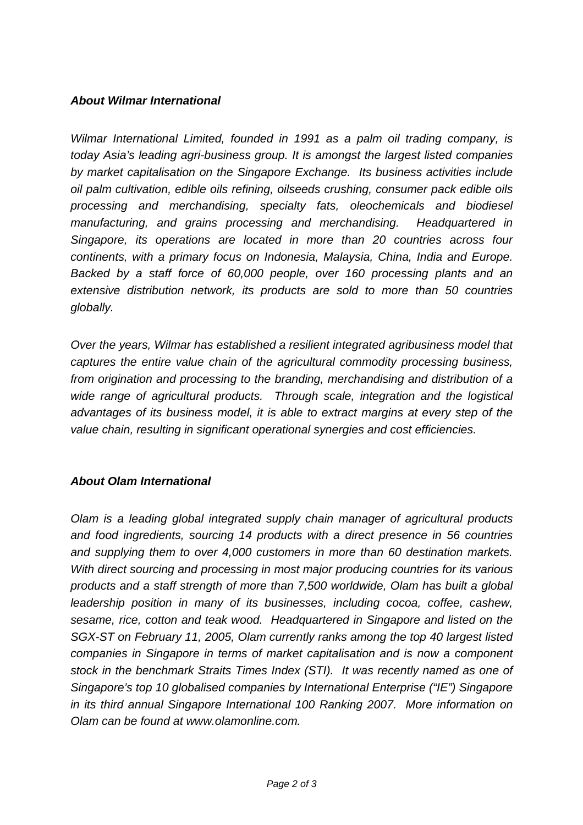## *About Wilmar International*

*Wilmar International Limited, founded in 1991 as a palm oil trading company, is today Asia's leading agri-business group. It is amongst the largest listed companies by market capitalisation on the Singapore Exchange. Its business activities include oil palm cultivation, edible oils refining, oilseeds crushing, consumer pack edible oils processing and merchandising, specialty fats, oleochemicals and biodiesel manufacturing, and grains processing and merchandising. Headquartered in Singapore, its operations are located in more than 20 countries across four continents, with a primary focus on Indonesia, Malaysia, China, India and Europe. Backed by a staff force of 60,000 people, over 160 processing plants and an extensive distribution network, its products are sold to more than 50 countries globally.*

*Over the years, Wilmar has established a resilient integrated agribusiness model that captures the entire value chain of the agricultural commodity processing business, from origination and processing to the branding, merchandising and distribution of a wide range of agricultural products. Through scale, integration and the logistical advantages of its business model, it is able to extract margins at every step of the value chain, resulting in significant operational synergies and cost efficiencies.*

## *About Olam International*

*Olam is a leading global integrated supply chain manager of agricultural products and food ingredients, sourcing 14 products with a direct presence in 56 countries and supplying them to over 4,000 customers in more than 60 destination markets. With direct sourcing and processing in most major producing countries for its various products and a staff strength of more than 7,500 worldwide, Olam has built a global leadership position in many of its businesses, including cocoa, coffee, cashew, sesame, rice, cotton and teak wood. Headquartered in Singapore and listed on the SGX-ST on February 11, 2005, Olam currently ranks among the top 40 largest listed companies in Singapore in terms of market capitalisation and is now a component stock in the benchmark Straits Times Index (STI). It was recently named as one of Singapore's top 10 globalised companies by International Enterprise ("IE") Singapore in its third annual Singapore International 100 Ranking 2007. More information on Olam can be found at www.olamonline.com.*